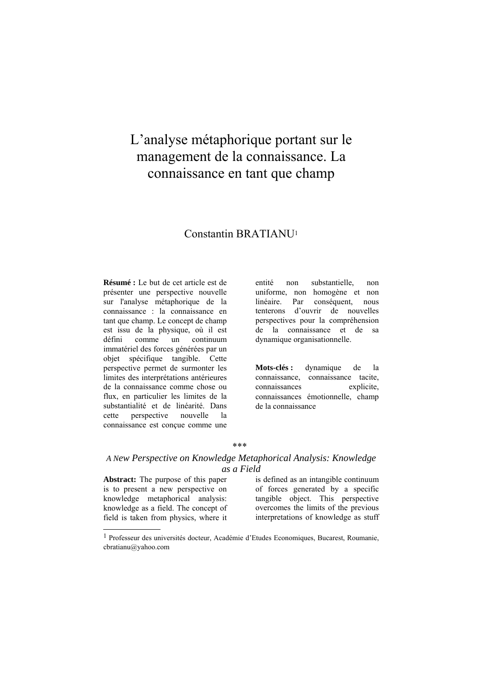# L'analyse métaphorique portant sur le management de la connaissance. La connaissance en tant que champ

# Constantin BRATIANU1

**Résumé :** Le but de cet article est de présenter une perspective nouvelle sur l'analyse métaphorique de la connaissance : la connaissance en tant que champ. Le concept de champ est issu de la physique, où il est défini comme un continuum immatériel des forces générées par un objet spécifique tangible. Cette perspective permet de surmonter les limites des interprétations antérieures de la connaissance comme chose ou flux, en particulier les limites de la substantialité et de linéarité. Dans cette perspective nouvelle la connaissance est conçue comme une

entité non substantielle, non uniforme, non homogène et non linéaire. Par conséquent, nous tenterons d'ouvrir de nouvelles perspectives pour la compréhension de la connaissance et de sa dynamique organisationnelle.

**Mots-clés :** dynamique de la connaissance, connaissance tacite, connaissances explicite, connaissances émotionnelle, champ de la connaissance

#### \*\*\*

# *A New Perspective on Knowledge Metaphorical Analysis: Knowledge as a Field*

**Abstract:** The purpose of this paper is to present a new perspective on knowledge metaphorical analysis: knowledge as a field. The concept of field is taken from physics, where it

l

is defined as an intangible continuum of forces generated by a specific tangible object. This perspective overcomes the limits of the previous interpretations of knowledge as stuff

<sup>1</sup> Professeur des universités docteur, Académie d'Etudes Economiques, Bucarest, Roumanie, cbratianu@yahoo.com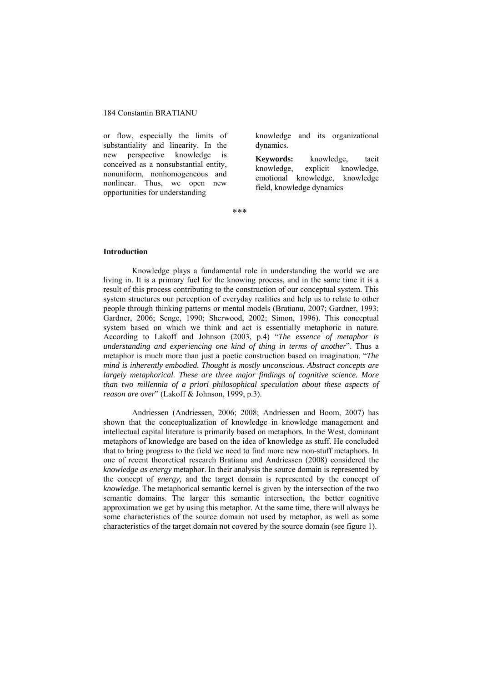or flow, especially the limits of substantiality and linearity. In the new perspective knowledge is conceived as a nonsubstantial entity, nonuniform, nonhomogeneous and nonlinear. Thus, we open new opportunities for understanding

knowledge and its organizational dynamics.

**Keywords:** knowledge, tacit knowledge, explicit knowledge, emotional knowledge, knowledge field, knowledge dynamics

\*\*\*

#### **Introduction**

Knowledge plays a fundamental role in understanding the world we are living in. It is a primary fuel for the knowing process, and in the same time it is a result of this process contributing to the construction of our conceptual system. This system structures our perception of everyday realities and help us to relate to other people through thinking patterns or mental models (Bratianu, 2007; Gardner, 1993; Gardner, 2006; Senge, 1990; Sherwood, 2002; Simon, 1996). This conceptual system based on which we think and act is essentially metaphoric in nature. According to Lakoff and Johnson (2003, p.4) "*The essence of metaphor is understanding and experiencing one kind of thing in terms of another*". Thus a metaphor is much more than just a poetic construction based on imagination. "*The mind is inherently embodied. Thought is mostly unconscious. Abstract concepts are largely metaphorical. These are three major findings of cognitive science. More than two millennia of a priori philosophical speculation about these aspects of reason are over*" (Lakoff & Johnson, 1999, p.3).

Andriessen (Andriessen, 2006; 2008; Andriessen and Boom, 2007) has shown that the conceptualization of knowledge in knowledge management and intellectual capital literature is primarily based on metaphors. In the West, dominant metaphors of knowledge are based on the idea of knowledge as stuff. He concluded that to bring progress to the field we need to find more new non-stuff metaphors. In one of recent theoretical research Bratianu and Andriessen (2008) considered the *knowledge as energy* metaphor. In their analysis the source domain is represented by the concept of *energy*, and the target domain is represented by the concept of *knowledge*. The metaphorical semantic kernel is given by the intersection of the two semantic domains. The larger this semantic intersection, the better cognitive approximation we get by using this metaphor. At the same time, there will always be some characteristics of the source domain not used by metaphor, as well as some characteristics of the target domain not covered by the source domain (see figure 1).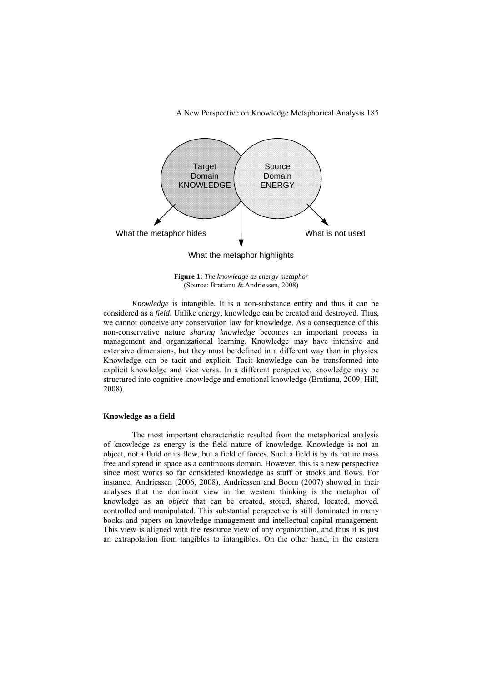A New Perspective on Knowledge Metaphorical Analysis 185



**Figure 1:** *The knowledge as energy metaphor* (Source: Bratianu & Andriessen, 2008)

*Knowledge* is intangible. It is a non-substance entity and thus it can be considered as a *field*. Unlike energy, knowledge can be created and destroyed. Thus, we cannot conceive any conservation law for knowledge. As a consequence of this non-conservative nature *sharing knowledge* becomes an important process in management and organizational learning. Knowledge may have intensive and extensive dimensions, but they must be defined in a different way than in physics. Knowledge can be tacit and explicit. Tacit knowledge can be transformed into explicit knowledge and vice versa. In a different perspective, knowledge may be structured into cognitive knowledge and emotional knowledge (Bratianu, 2009; Hill, 2008).

## **Knowledge as a field**

The most important characteristic resulted from the metaphorical analysis of knowledge as energy is the field nature of knowledge. Knowledge is not an object, not a fluid or its flow, but a field of forces. Such a field is by its nature mass free and spread in space as a continuous domain. However, this is a new perspective since most works so far considered knowledge as stuff or stocks and flows. For instance, Andriessen (2006, 2008), Andriessen and Boom (2007) showed in their analyses that the dominant view in the western thinking is the metaphor of knowledge as an *object* that can be created, stored, shared, located, moved, controlled and manipulated. This substantial perspective is still dominated in many books and papers on knowledge management and intellectual capital management. This view is aligned with the resource view of any organization, and thus it is just an extrapolation from tangibles to intangibles. On the other hand, in the eastern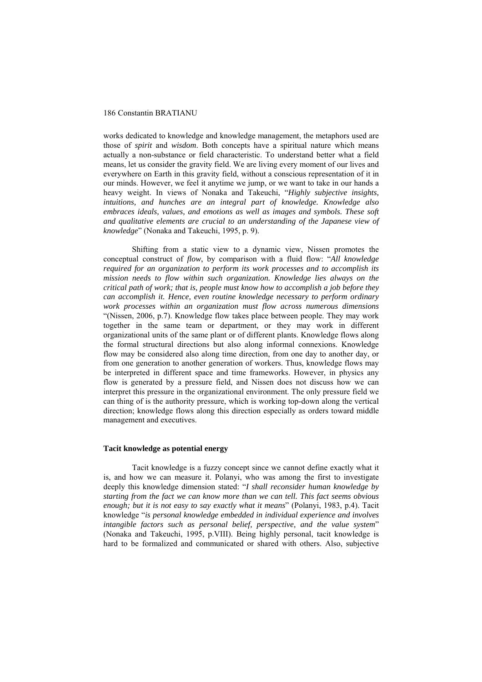works dedicated to knowledge and knowledge management, the metaphors used are those of *spirit* and *wisdom*. Both concepts have a spiritual nature which means actually a non-substance or field characteristic. To understand better what a field means, let us consider the gravity field. We are living every moment of our lives and everywhere on Earth in this gravity field, without a conscious representation of it in our minds. However, we feel it anytime we jump, or we want to take in our hands a heavy weight. In views of Nonaka and Takeuchi, "*Highly subjective insights, intuitions, and hunches are an integral part of knowledge. Knowledge also embraces ideals, values, and emotions as well as images and symbols. These soft and qualitative elements are crucial to an understanding of the Japanese view of knowledge*" (Nonaka and Takeuchi, 1995, p. 9).

Shifting from a static view to a dynamic view, Nissen promotes the conceptual construct of *flow*, by comparison with a fluid flow: "*All knowledge required for an organization to perform its work processes and to accomplish its mission needs to flow within such organization. Knowledge lies always on the critical path of work; that is, people must know how to accomplish a job before they can accomplish it. Hence, even routine knowledge necessary to perform ordinary work processes within an organization must flow across numerous dimensions* "(Nissen, 2006, p.7). Knowledge flow takes place between people. They may work together in the same team or department, or they may work in different organizational units of the same plant or of different plants. Knowledge flows along the formal structural directions but also along informal connexions. Knowledge flow may be considered also along time direction, from one day to another day, or from one generation to another generation of workers. Thus, knowledge flows may be interpreted in different space and time frameworks. However, in physics any flow is generated by a pressure field, and Nissen does not discuss how we can interpret this pressure in the organizational environment. The only pressure field we can thing of is the authority pressure, which is working top-down along the vertical direction; knowledge flows along this direction especially as orders toward middle management and executives.

### **Tacit knowledge as potential energy**

Tacit knowledge is a fuzzy concept since we cannot define exactly what it is, and how we can measure it. Polanyi, who was among the first to investigate deeply this knowledge dimension stated: "*I shall reconsider human knowledge by starting from the fact we can know more than we can tell. This fact seems obvious enough; but it is not easy to say exactly what it means*" (Polanyi, 1983, p.4). Tacit knowledge "*is personal knowledge embedded in individual experience and involves intangible factors such as personal belief, perspective, and the value system*" (Nonaka and Takeuchi, 1995, p.VIII). Being highly personal, tacit knowledge is hard to be formalized and communicated or shared with others. Also, subjective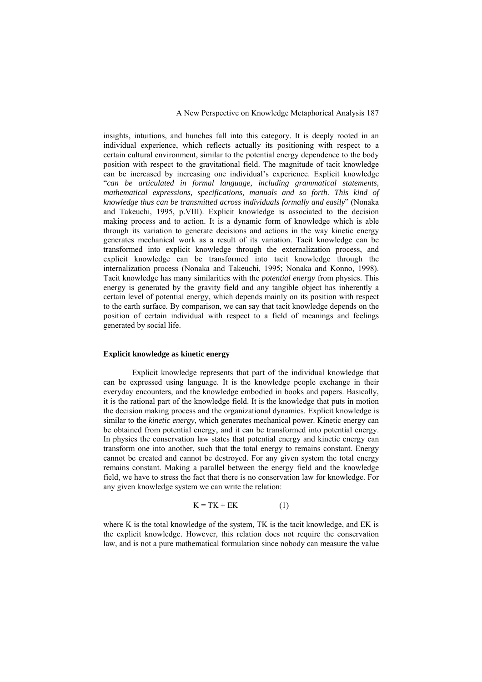insights, intuitions, and hunches fall into this category. It is deeply rooted in an individual experience, which reflects actually its positioning with respect to a certain cultural environment, similar to the potential energy dependence to the body position with respect to the gravitational field. The magnitude of tacit knowledge can be increased by increasing one individual's experience. Explicit knowledge "*can be articulated in formal language, including grammatical statements,*  mathematical expressions, specifications, manuals and so forth. This kind of *knowledge thus can be transmitted across individuals formally and easily*" (Nonaka and Takeuchi, 1995, p.VIII). Explicit knowledge is associated to the decision making process and to action. It is a dynamic form of knowledge which is able through its variation to generate decisions and actions in the way kinetic energy generates mechanical work as a result of its variation. Tacit knowledge can be transformed into explicit knowledge through the externalization process, and explicit knowledge can be transformed into tacit knowledge through the internalization process (Nonaka and Takeuchi, 1995; Nonaka and Konno, 1998). Tacit knowledge has many similarities with the *potential energy* from physics. This energy is generated by the gravity field and any tangible object has inherently a certain level of potential energy, which depends mainly on its position with respect to the earth surface. By comparison, we can say that tacit knowledge depends on the position of certain individual with respect to a field of meanings and feelings generated by social life.

#### **Explicit knowledge as kinetic energy**

Explicit knowledge represents that part of the individual knowledge that can be expressed using language. It is the knowledge people exchange in their everyday encounters, and the knowledge embodied in books and papers. Basically, it is the rational part of the knowledge field. It is the knowledge that puts in motion the decision making process and the organizational dynamics. Explicit knowledge is similar to the *kinetic energy*, which generates mechanical power. Kinetic energy can be obtained from potential energy, and it can be transformed into potential energy. In physics the conservation law states that potential energy and kinetic energy can transform one into another, such that the total energy to remains constant. Energy cannot be created and cannot be destroyed. For any given system the total energy remains constant. Making a parallel between the energy field and the knowledge field, we have to stress the fact that there is no conservation law for knowledge. For any given knowledge system we can write the relation:

$$
K = TK + EK \tag{1}
$$

where K is the total knowledge of the system, TK is the tacit knowledge, and EK is the explicit knowledge. However, this relation does not require the conservation law, and is not a pure mathematical formulation since nobody can measure the value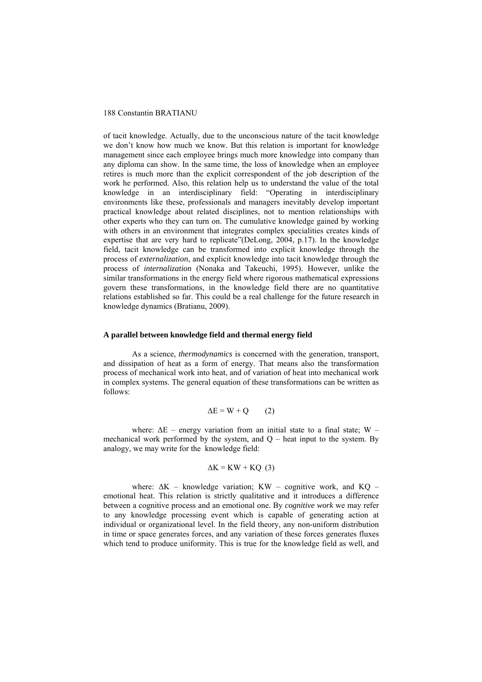of tacit knowledge. Actually, due to the unconscious nature of the tacit knowledge we don't know how much we know. But this relation is important for knowledge management since each employee brings much more knowledge into company than any diploma can show. In the same time, the loss of knowledge when an employee retires is much more than the explicit correspondent of the job description of the work he performed. Also, this relation help us to understand the value of the total knowledge in an interdisciplinary field: "Operating in interdisciplinary environments like these, professionals and managers inevitably develop important practical knowledge about related disciplines, not to mention relationships with other experts who they can turn on. The cumulative knowledge gained by working with others in an environment that integrates complex specialities creates kinds of expertise that are very hard to replicate"(DeLong, 2004, p.17). In the knowledge field, tacit knowledge can be transformed into explicit knowledge through the process of *externalization*, and explicit knowledge into tacit knowledge through the process of *internalization* (Nonaka and Takeuchi, 1995). However, unlike the similar transformations in the energy field where rigorous mathematical expressions govern these transformations, in the knowledge field there are no quantitative relations established so far. This could be a real challenge for the future research in knowledge dynamics (Bratianu, 2009).

## **A parallel between knowledge field and thermal energy field**

As a science, *thermodynamics* is concerned with the generation, transport, and dissipation of heat as a form of energy. That means also the transformation process of mechanical work into heat, and of variation of heat into mechanical work in complex systems. The general equation of these transformations can be written as follows:

$$
\Delta E = W + Q \qquad (2)
$$

where:  $\Delta E$  – energy variation from an initial state to a final state; W – mechanical work performed by the system, and  $Q$  – heat input to the system. By analogy, we may write for the knowledge field:

$$
\Delta K = KW + KQ (3)
$$

where:  $\Delta K$  – knowledge variation; KW – cognitive work, and KQ – emotional heat. This relation is strictly qualitative and it introduces a difference between a cognitive process and an emotional one. By *cognitive work* we may refer to any knowledge processing event which is capable of generating action at individual or organizational level. In the field theory, any non-uniform distribution in time or space generates forces, and any variation of these forces generates fluxes which tend to produce uniformity. This is true for the knowledge field as well, and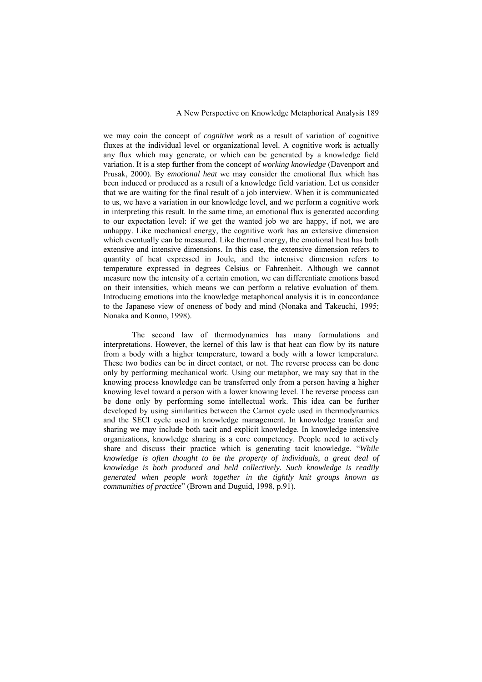#### A New Perspective on Knowledge Metaphorical Analysis 189

we may coin the concept of *cognitive work* as a result of variation of cognitive fluxes at the individual level or organizational level. A cognitive work is actually any flux which may generate, or which can be generated by a knowledge field variation. It is a step further from the concept of *working knowledge* (Davenport and Prusak, 2000). By *emotional heat* we may consider the emotional flux which has been induced or produced as a result of a knowledge field variation. Let us consider that we are waiting for the final result of a job interview. When it is communicated to us, we have a variation in our knowledge level, and we perform a cognitive work in interpreting this result. In the same time, an emotional flux is generated according to our expectation level: if we get the wanted job we are happy, if not, we are unhappy. Like mechanical energy, the cognitive work has an extensive dimension which eventually can be measured. Like thermal energy, the emotional heat has both extensive and intensive dimensions. In this case, the extensive dimension refers to quantity of heat expressed in Joule, and the intensive dimension refers to temperature expressed in degrees Celsius or Fahrenheit. Although we cannot measure now the intensity of a certain emotion, we can differentiate emotions based on their intensities, which means we can perform a relative evaluation of them. Introducing emotions into the knowledge metaphorical analysis it is in concordance to the Japanese view of oneness of body and mind (Nonaka and Takeuchi, 1995; Nonaka and Konno, 1998).

The second law of thermodynamics has many formulations and interpretations. However, the kernel of this law is that heat can flow by its nature from a body with a higher temperature, toward a body with a lower temperature. These two bodies can be in direct contact, or not. The reverse process can be done only by performing mechanical work. Using our metaphor, we may say that in the knowing process knowledge can be transferred only from a person having a higher knowing level toward a person with a lower knowing level. The reverse process can be done only by performing some intellectual work. This idea can be further developed by using similarities between the Carnot cycle used in thermodynamics and the SECI cycle used in knowledge management. In knowledge transfer and sharing we may include both tacit and explicit knowledge. In knowledge intensive organizations, knowledge sharing is a core competency. People need to actively share and discuss their practice which is generating tacit knowledge. "*While knowledge is often thought to be the property of individuals, a great deal of knowledge is both produced and held collectively. Such knowledge is readily generated when people work together in the tightly knit groups known as communities of practice*" (Brown and Duguid, 1998, p.91).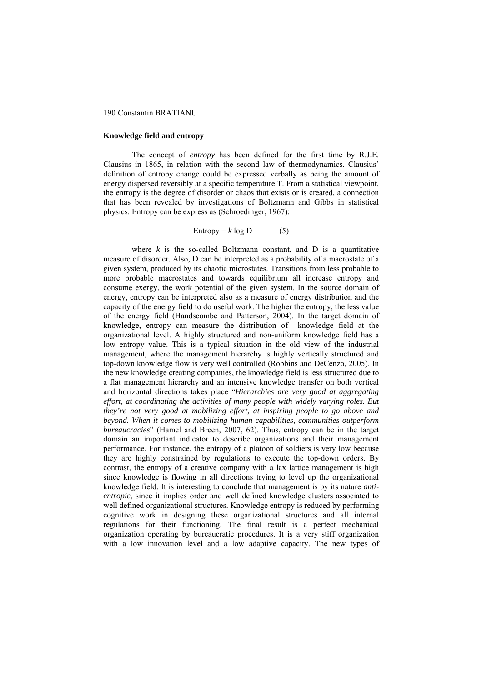#### **Knowledge field and entropy**

The concept of *entropy* has been defined for the first time by R.J.E. Clausius in 1865, in relation with the second law of thermodynamics. Clausius' definition of entropy change could be expressed verbally as being the amount of energy dispersed reversibly at a specific temperature T. From a statistical viewpoint, the entropy is the degree of disorder or chaos that exists or is created, a connection that has been revealed by investigations of Boltzmann and Gibbs in statistical physics. Entropy can be express as (Schroedinger, 1967):

Entropy = 
$$
k \log D
$$
 (5)

where  $k$  is the so-called Boltzmann constant, and  $D$  is a quantitative measure of disorder. Also, D can be interpreted as a probability of a macrostate of a given system, produced by its chaotic microstates. Transitions from less probable to more probable macrostates and towards equilibrium all increase entropy and consume exergy, the work potential of the given system. In the source domain of energy, entropy can be interpreted also as a measure of energy distribution and the capacity of the energy field to do useful work. The higher the entropy, the less value of the energy field (Handscombe and Patterson, 2004). In the target domain of knowledge, entropy can measure the distribution of knowledge field at the organizational level. A highly structured and non-uniform knowledge field has a low entropy value. This is a typical situation in the old view of the industrial management, where the management hierarchy is highly vertically structured and top-down knowledge flow is very well controlled (Robbins and DeCenzo, 2005). In the new knowledge creating companies, the knowledge field is less structured due to a flat management hierarchy and an intensive knowledge transfer on both vertical and horizontal directions takes place "*Hierarchies are very good at aggregating effort, at coordinating the activities of many people with widely varying roles. But they're not very good at mobilizing effort, at inspiring people to go above and beyond. When it comes to mobilizing human capabilities, communities outperform bureaucracies*" (Hamel and Breen, 2007, 62). Thus, entropy can be in the target domain an important indicator to describe organizations and their management performance. For instance, the entropy of a platoon of soldiers is very low because they are highly constrained by regulations to execute the top-down orders. By contrast, the entropy of a creative company with a lax lattice management is high since knowledge is flowing in all directions trying to level up the organizational knowledge field. It is interesting to conclude that management is by its nature *antientropic*, since it implies order and well defined knowledge clusters associated to well defined organizational structures. Knowledge entropy is reduced by performing cognitive work in designing these organizational structures and all internal regulations for their functioning. The final result is a perfect mechanical organization operating by bureaucratic procedures. It is a very stiff organization with a low innovation level and a low adaptive capacity. The new types of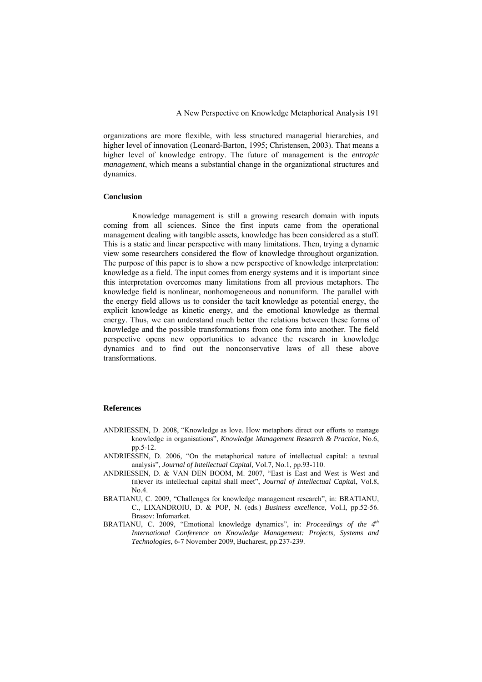organizations are more flexible, with less structured managerial hierarchies, and higher level of innovation (Leonard-Barton, 1995; Christensen, 2003). That means a higher level of knowledge entropy. The future of management is the *entropic management*, which means a substantial change in the organizational structures and dynamics.

#### **Conclusion**

 Knowledge management is still a growing research domain with inputs coming from all sciences. Since the first inputs came from the operational management dealing with tangible assets, knowledge has been considered as a stuff. This is a static and linear perspective with many limitations. Then, trying a dynamic view some researchers considered the flow of knowledge throughout organization. The purpose of this paper is to show a new perspective of knowledge interpretation: knowledge as a field. The input comes from energy systems and it is important since this interpretation overcomes many limitations from all previous metaphors. The knowledge field is nonlinear, nonhomogeneous and nonuniform. The parallel with the energy field allows us to consider the tacit knowledge as potential energy, the explicit knowledge as kinetic energy, and the emotional knowledge as thermal energy. Thus, we can understand much better the relations between these forms of knowledge and the possible transformations from one form into another. The field perspective opens new opportunities to advance the research in knowledge dynamics and to find out the nonconservative laws of all these above transformations.

# **References**

- ANDRIESSEN, D. 2008, "Knowledge as love. How metaphors direct our efforts to manage knowledge in organisations", *Knowledge Management Research & Practice*, No.6, pp.5-12.
- ANDRIESSEN, D. 2006, "On the metaphorical nature of intellectual capital: a textual analysis", *Journal of Intellectual Capital,* Vol.7, No.1, pp.93-110.
- ANDRIESSEN, D. & VAN DEN BOOM, M. 2007, "East is East and West is West and (n)ever its intellectual capital shall meet", *Journal of Intellectual Capita*l, Vol.8,  $N_0$   $\Delta$
- BRATIANU, C. 2009, "Challenges for knowledge management research", in: BRATIANU, C., LIXANDROIU, D. & POP, N. (eds.) *Business excellence*, Vol.I, pp.52-56. Brasov: Infomarket.
- BRATIANU, C. 2009, "Emotional knowledge dynamics", in: *Proceedings of the 4th International Conference on Knowledge Management: Projects, Systems and Technologies*, 6-7 November 2009, Bucharest, pp.237-239.